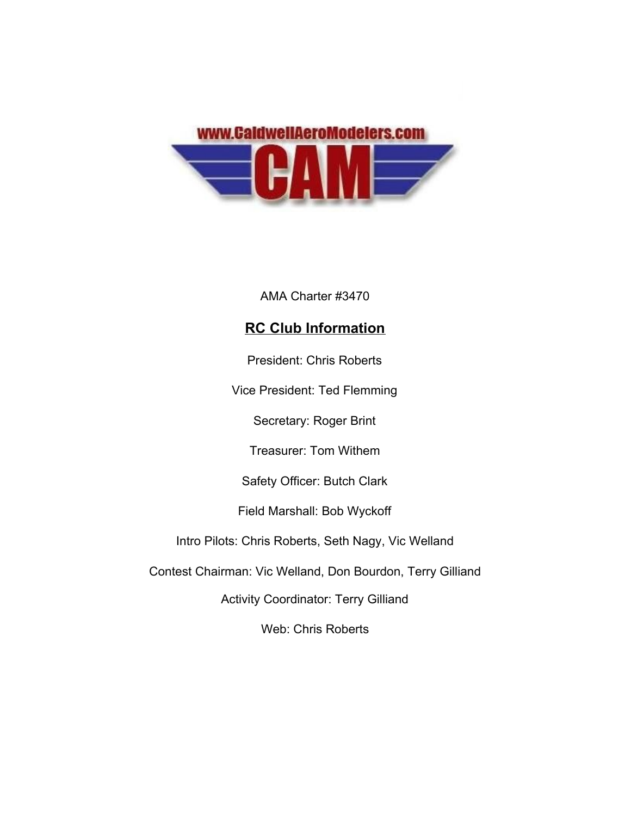

AMA Charter #3470

## **RC Club Information**

President: Chris Roberts

Vice President: Ted Flemming

Secretary: Roger Brint

Treasurer: Tom Withem

Safety Officer: Butch Clark

Field Marshall: Bob Wyckoff

Intro Pilots: Chris Roberts, Seth Nagy, Vic Welland

Contest Chairman: Vic Welland, Don Bourdon, Terry Gilliand

Activity Coordinator: Terry Gilliand

Web: Chris Roberts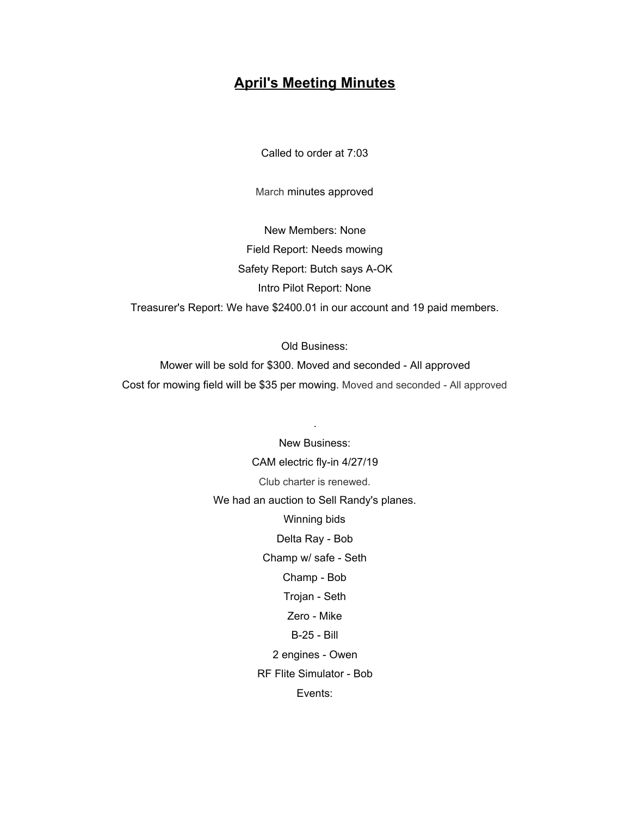## **April's Meeting Minutes**

Called to order at 7:03

March minutes approved

New Members: None Field Report: Needs mowing Safety Report: Butch says A-OK Intro Pilot Report: None Treasurer's Report: We have \$2400.01 in our account and 19 paid members.

Old Business:

Mower will be sold for \$300. Moved and seconded - All approved Cost for mowing field will be \$35 per mowing. Moved and seconded - All approved

.

New Business: CAM electric fly-in 4/27/19 Club charter is renewed. We had an auction to Sell Randy's planes. Winning bids Delta Ray - Bob Champ w/ safe - Seth Champ - Bob Trojan - Seth Zero - Mike B-25 - Bill 2 engines - Owen RF Flite Simulator - Bob Events: